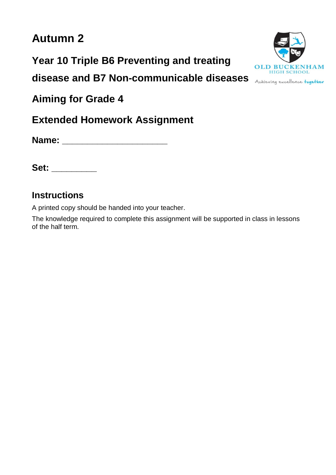# **Autumn 2**

**Year 10 Triple B6 Preventing and treating**

**disease and B7 Non-communicable diseases**

**Aiming for Grade 4**

**Extended Homework Assignment**

**Name: \_\_\_\_\_\_\_\_\_\_\_\_\_\_\_\_\_\_\_\_\_**

**Set: \_\_\_\_\_\_\_\_\_**

### **Instructions**

A printed copy should be handed into your teacher.

The knowledge required to complete this assignment will be supported in class in lessons of the half term.

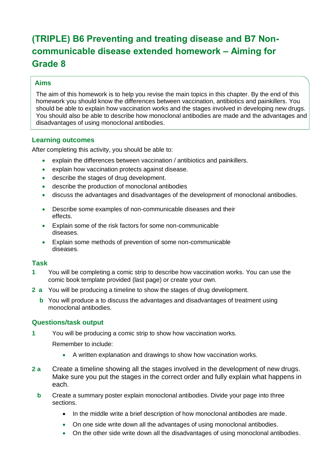## **(TRIPLE) B6 Preventing and treating disease and B7 Noncommunicable disease extended homework – Aiming for Grade 8**

#### **Aims**

The aim of this homework is to help you revise the main topics in this chapter. By the end of this homework you should know the differences between vaccination, antibiotics and painkillers. You should be able to explain how vaccination works and the stages involved in developing new drugs. You should also be able to describe how monoclonal antibodies are made and the advantages and disadvantages of using monoclonal antibodies.

#### **Learning outcomes**

After completing this activity, you should be able to:

- explain the differences between vaccination / antibiotics and painkillers.
- explain how vaccination protects against disease.
- describe the stages of drug development.
- describe the production of monoclonal antibodies
- discuss the advantages and disadvantages of the development of monoclonal antibodies.
- Describe some examples of non-communicable diseases and their effects.
- Explain some of the risk factors for some non-communicable diseases.
- Explain some methods of prevention of some non-communicable diseases.

#### **Task**

- **1** You will be completing a comic strip to describe how vaccination works. You can use the comic book template provided (last page) or create your own.
- **2 a** You will be producing a timeline to show the stages of drug development.
	- **b** You will produce a to discuss the advantages and disadvantages of treatment using monoclonal antibodies.

#### **Questions/task output**

**1** You will be producing a comic strip to show how vaccination works.

Remember to include:

- A written explanation and drawings to show how vaccination works.
- **2 a** Create a timeline showing all the stages involved in the development of new drugs. Make sure you put the stages in the correct order and fully explain what happens in each.
	- **b** Create a summary poster explain monoclonal antibodies. Divide your page into three sections.
		- In the middle write a brief description of how monoclonal antibodies are made.
		- On one side write down all the advantages of using monoclonal antibodies.
		- On the other side write down all the disadvantages of using monoclonal antibodies.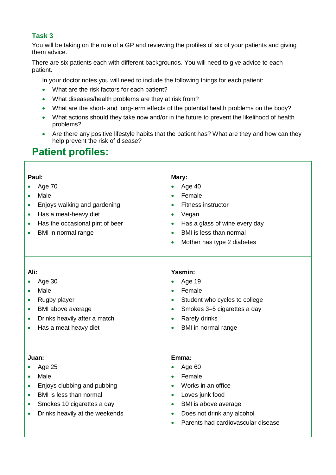#### **Task 3**

You will be taking on the role of a GP and reviewing the profiles of six of your patients and giving them advice.

There are six patients each with different backgrounds. You will need to give advice to each patient.

In your doctor notes you will need to include the following things for each patient:

- What are the risk factors for each patient?
- What diseases/health problems are they at risk from?
- What are the short- and long-term effects of the potential health problems on the body?
- What actions should they take now and/or in the future to prevent the likelihood of health problems?

Τ

• Are there any positive lifestyle habits that the patient has? What are they and how can they help prevent the risk of disease?

### **Patient profiles:**

| Paul:<br>Age 70<br>Male<br>$\bullet$<br>Enjoys walking and gardening<br>$\bullet$<br>Has a meat-heavy diet<br>$\bullet$<br>Has the occasional pint of beer<br>$\bullet$<br>BMI in normal range<br>$\bullet$        | Mary:<br>Age 40<br>$\bullet$<br>Female<br>$\bullet$<br>Fitness instructor<br>$\bullet$<br>Vegan<br>$\bullet$<br>Has a glass of wine every day<br>$\bullet$<br>BMI is less than normal<br>$\bullet$<br>Mother has type 2 diabetes<br>$\bullet$             |  |
|--------------------------------------------------------------------------------------------------------------------------------------------------------------------------------------------------------------------|-----------------------------------------------------------------------------------------------------------------------------------------------------------------------------------------------------------------------------------------------------------|--|
| Ali:<br>Age 30<br>Male<br>$\bullet$<br>Rugby player<br>$\bullet$<br>BMI above average<br>$\bullet$<br>Drinks heavily after a match<br>$\bullet$<br>Has a meat heavy diet<br>$\bullet$                              | Yasmin:<br>Age 19<br>$\bullet$<br>Female<br>$\bullet$<br>Student who cycles to college<br>$\bullet$<br>Smokes 3-5 cigarettes a day<br>$\bullet$<br>Rarely drinks<br>$\bullet$<br>BMI in normal range<br>$\bullet$                                         |  |
| Juan:<br>Age 25<br>Male<br>$\bullet$<br>Enjoys clubbing and pubbing<br>$\bullet$<br>BMI is less than normal<br>$\bullet$<br>Smokes 10 cigarettes a day<br>$\bullet$<br>Drinks heavily at the weekends<br>$\bullet$ | Emma:<br>Age 60<br>$\bullet$<br>Female<br>$\bullet$<br>Works in an office<br>$\bullet$<br>Loves junk food<br>$\bullet$<br>BMI is above average<br>$\bullet$<br>Does not drink any alcohol<br>$\bullet$<br>Parents had cardiovascular disease<br>$\bullet$ |  |